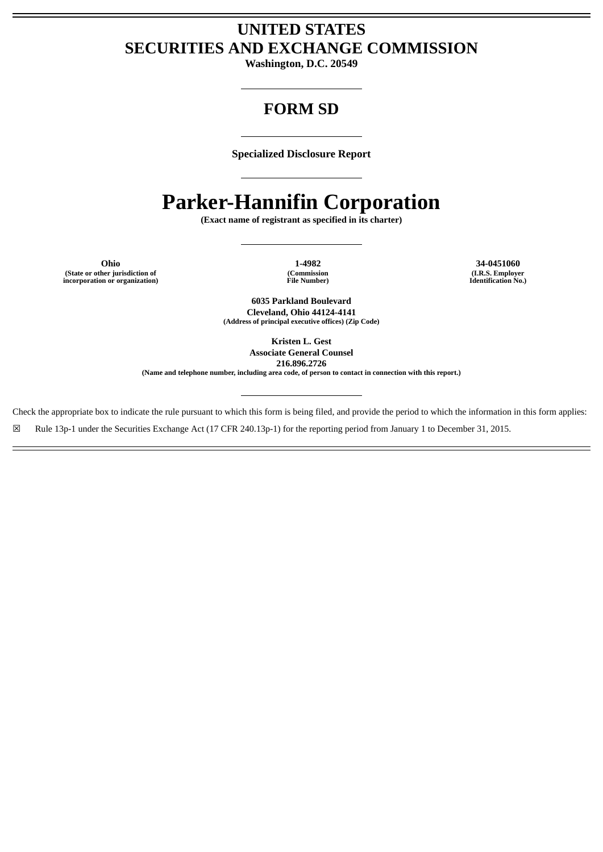# **UNITED STATES SECURITIES AND EXCHANGE COMMISSION**

**Washington, D.C. 20549**

# **FORM SD**

**Specialized Disclosure Report**

# **Parker-Hannifin Corporation**

**(Exact name of registrant as specified in its charter)**

**Ohio 1-4982 34-0451060 (State or other jurisdiction of incorporation or organization)**

**(Commission File Number)**

**(I.R.S. Employer Identification No.)**

**6035 Parkland Boulevard Cleveland, Ohio 44124-4141 (Address of principal executive offices) (Zip Code)**

> **Kristen L. Gest Associate General Counsel**

**216.896.2726**

**(Name and telephone number, including area code, of person to contact in connection with this report.)**

Check the appropriate box to indicate the rule pursuant to which this form is being filed, and provide the period to which the information in this form applies:

☒ Rule 13p-1 under the Securities Exchange Act (17 CFR 240.13p-1) for the reporting period from January 1 to December 31, 2015.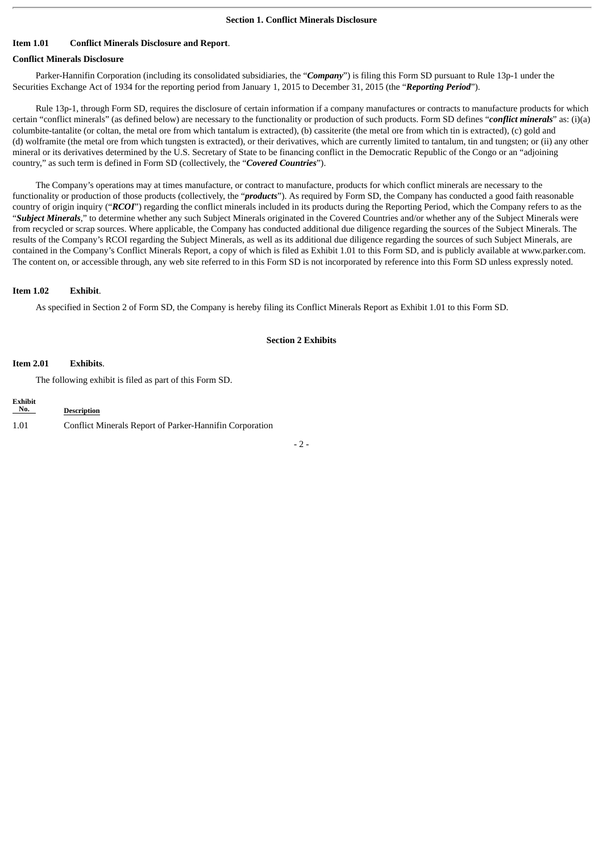### **Item 1.01 Conflict Minerals Disclosure and Report**.

## **Conflict Minerals Disclosure**

Parker-Hannifin Corporation (including its consolidated subsidiaries, the "*Company*") is filing this Form SD pursuant to Rule 13p-1 under the Securities Exchange Act of 1934 for the reporting period from January 1, 2015 to December 31, 2015 (the "*Reporting Period*").

Rule 13p-1, through Form SD, requires the disclosure of certain information if a company manufactures or contracts to manufacture products for which certain "conflict minerals" (as defined below) are necessary to the functionality or production of such products. Form SD defines "*conflict minerals*" as: (i)(a) columbite-tantalite (or coltan, the metal ore from which tantalum is extracted), (b) cassiterite (the metal ore from which tin is extracted), (c) gold and (d) wolframite (the metal ore from which tungsten is extracted), or their derivatives, which are currently limited to tantalum, tin and tungsten; or (ii) any other mineral or its derivatives determined by the U.S. Secretary of State to be financing conflict in the Democratic Republic of the Congo or an "adjoining country," as such term is defined in Form SD (collectively, the "*Covered Countries*").

The Company's operations may at times manufacture, or contract to manufacture, products for which conflict minerals are necessary to the functionality or production of those products (collectively, the "*products*"). As required by Form SD, the Company has conducted a good faith reasonable country of origin inquiry ("*RCOI*") regarding the conflict minerals included in its products during the Reporting Period, which the Company refers to as the "*Subject Minerals*," to determine whether any such Subject Minerals originated in the Covered Countries and/or whether any of the Subject Minerals were from recycled or scrap sources. Where applicable, the Company has conducted additional due diligence regarding the sources of the Subject Minerals. The results of the Company's RCOI regarding the Subject Minerals, as well as its additional due diligence regarding the sources of such Subject Minerals, are contained in the Company's Conflict Minerals Report, a copy of which is filed as Exhibit 1.01 to this Form SD, and is publicly available at www.parker.com. The content on, or accessible through, any web site referred to in this Form SD is not incorporated by reference into this Form SD unless expressly noted.

#### **Item 1.02 Exhibit**.

As specified in Section 2 of Form SD, the Company is hereby filing its Conflict Minerals Report as Exhibit 1.01 to this Form SD.

#### **Section 2 Exhibits**

#### **Item 2.01 Exhibits**.

The following exhibit is filed as part of this Form SD.

| <b>Exhibit</b><br>No. | <b>Description</b>                                      |
|-----------------------|---------------------------------------------------------|
| 1.01                  | Conflict Minerals Report of Parker-Hannifin Corporation |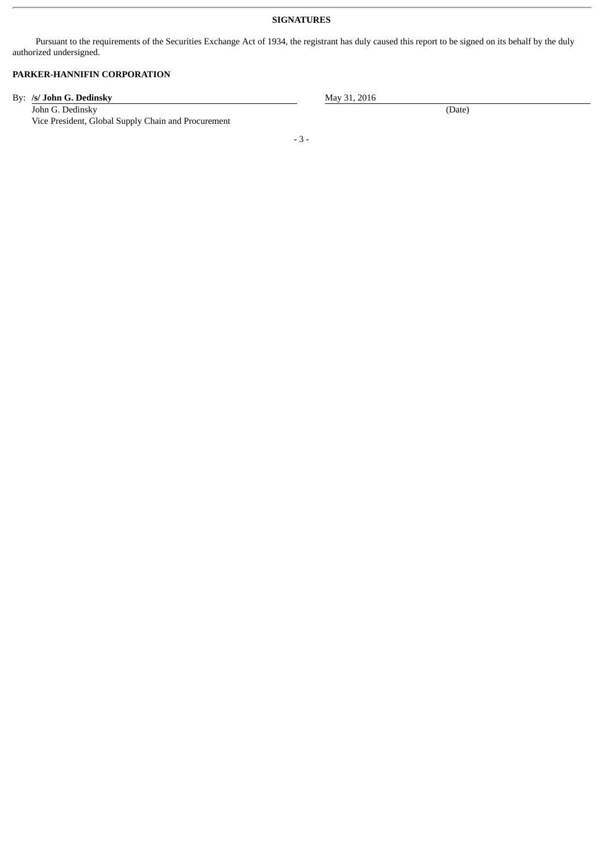## **SIGNATURES**

Pursuant to the requirements of the Securities Exchange Act of 1934, the registrant has duly caused this report to be signed on its behalf by the duly authorized undersigned.

# **PARKER-HANNIFIN CORPORATION**

By: **/s/ John G. Dedinsky** May 31, 2016

John G. Dedinsky (Date) (Date) Vice President, Global Supply Chain and Procurement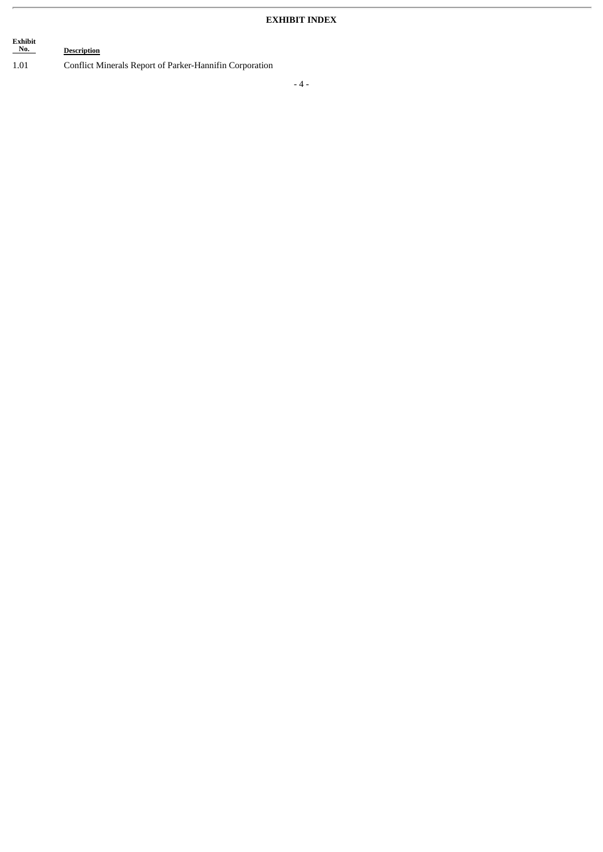# **Exhibit Description** 1.01 Conflict Minerals Report of Parker-Hannifin Corporation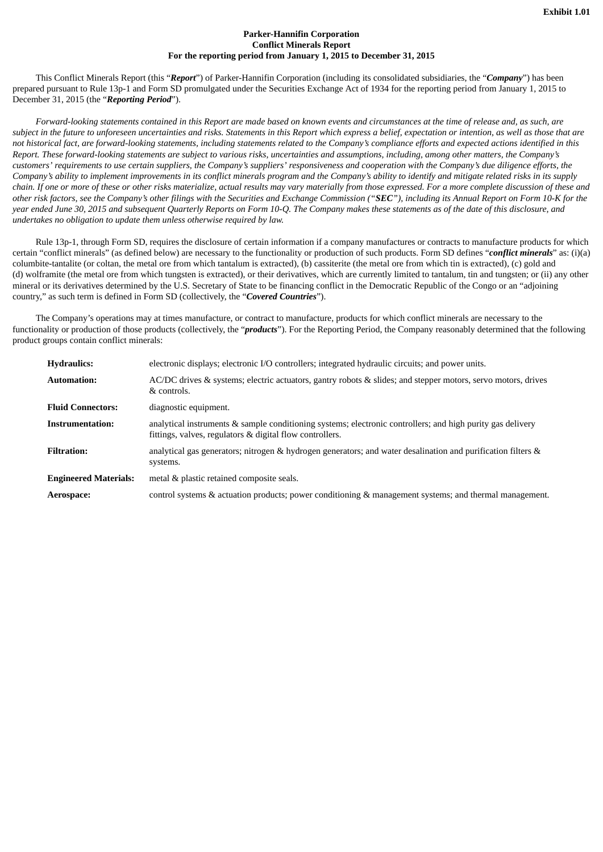#### **Parker-Hannifin Corporation Conflict Minerals Report For the reporting period from January 1, 2015 to December 31, 2015**

This Conflict Minerals Report (this "*Report*") of Parker-Hannifin Corporation (including its consolidated subsidiaries, the "*Company*") has been prepared pursuant to Rule 13p-1 and Form SD promulgated under the Securities Exchange Act of 1934 for the reporting period from January 1, 2015 to December 31, 2015 (the "*Reporting Period*").

Forward-looking statements contained in this Report are made based on known events and circumstances at the time of release and, as such, are subject in the future to unforeseen uncertainties and risks. Statements in this Report which express a belief, expectation or intention, as well as those that are not historical fact, are forward-looking statements, including statements related to the Company's compliance efforts and expected actions identified in this Report. These forward-looking statements are subject to various risks, uncertainties and assumptions, including, among other matters, the Company's customers' requirements to use certain suppliers, the Company's suppliers' responsiveness and cooperation with the Company's due diligence efforts, the Company's ability to implement improvements in its conflict minerals program and the Company's ability to identify and mitigate related risks in its supply chain. If one or more of these or other risks materialize, actual results may vary materially from those expressed. For a more complete discussion of these and other risk factors, see the Company's other filings with the Securities and Exchange Commission ("SEC"), including its Annual Report on Form 10-K for the year ended June 30, 2015 and subsequent Quarterly Reports on Form 10-Q. The Company makes these statements as of the date of this disclosure, and *undertakes no obligation to update them unless otherwise required by law.*

Rule 13p-1, through Form SD, requires the disclosure of certain information if a company manufactures or contracts to manufacture products for which certain "conflict minerals" (as defined below) are necessary to the functionality or production of such products. Form SD defines "*conflict minerals*" as: (i)(a) columbite-tantalite (or coltan, the metal ore from which tantalum is extracted), (b) cassiterite (the metal ore from which tin is extracted), (c) gold and (d) wolframite (the metal ore from which tungsten is extracted), or their derivatives, which are currently limited to tantalum, tin and tungsten; or (ii) any other mineral or its derivatives determined by the U.S. Secretary of State to be financing conflict in the Democratic Republic of the Congo or an "adjoining country," as such term is defined in Form SD (collectively, the "*Covered Countries*").

The Company's operations may at times manufacture, or contract to manufacture, products for which conflict minerals are necessary to the functionality or production of those products (collectively, the "*products*"). For the Reporting Period, the Company reasonably determined that the following product groups contain conflict minerals:

| <b>Hydraulics:</b>           | electronic displays; electronic I/O controllers; integrated hydraulic circuits; and power units.                                                                       |
|------------------------------|------------------------------------------------------------------------------------------------------------------------------------------------------------------------|
| <b>Automation:</b>           | AC/DC drives & systems; electric actuators, gantry robots & slides; and stepper motors, servo motors, drives<br>& controls.                                            |
| <b>Fluid Connectors:</b>     | diagnostic equipment.                                                                                                                                                  |
| Instrumentation:             | analytical instruments & sample conditioning systems; electronic controllers; and high purity gas delivery<br>fittings, valves, regulators & digital flow controllers. |
| <b>Filtration:</b>           | analytical gas generators; nitrogen & hydrogen generators; and water desalination and purification filters &<br>systems.                                               |
| <b>Engineered Materials:</b> | metal & plastic retained composite seals.                                                                                                                              |
| Aerospace:                   | control systems & actuation products; power conditioning & management systems; and thermal management.                                                                 |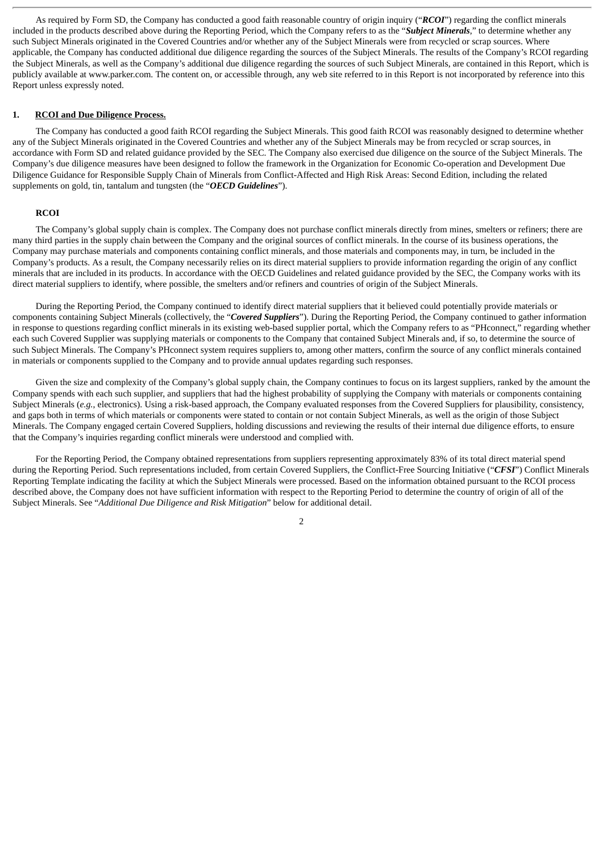As required by Form SD, the Company has conducted a good faith reasonable country of origin inquiry ("*RCOI*") regarding the conflict minerals included in the products described above during the Reporting Period, which the Company refers to as the "*Subject Minerals*," to determine whether any such Subject Minerals originated in the Covered Countries and/or whether any of the Subject Minerals were from recycled or scrap sources. Where applicable, the Company has conducted additional due diligence regarding the sources of the Subject Minerals. The results of the Company's RCOI regarding the Subject Minerals, as well as the Company's additional due diligence regarding the sources of such Subject Minerals, are contained in this Report, which is publicly available at www.parker.com. The content on, or accessible through, any web site referred to in this Report is not incorporated by reference into this Report unless expressly noted.

#### **1. RCOI and Due Diligence Process.**

The Company has conducted a good faith RCOI regarding the Subject Minerals. This good faith RCOI was reasonably designed to determine whether any of the Subject Minerals originated in the Covered Countries and whether any of the Subject Minerals may be from recycled or scrap sources, in accordance with Form SD and related guidance provided by the SEC. The Company also exercised due diligence on the source of the Subject Minerals. The Company's due diligence measures have been designed to follow the framework in the Organization for Economic Co-operation and Development Due Diligence Guidance for Responsible Supply Chain of Minerals from Conflict-Affected and High Risk Areas: Second Edition, including the related supplements on gold, tin, tantalum and tungsten (the "*OECD Guidelines*").

#### **RCOI**

The Company's global supply chain is complex. The Company does not purchase conflict minerals directly from mines, smelters or refiners; there are many third parties in the supply chain between the Company and the original sources of conflict minerals. In the course of its business operations, the Company may purchase materials and components containing conflict minerals, and those materials and components may, in turn, be included in the Company's products. As a result, the Company necessarily relies on its direct material suppliers to provide information regarding the origin of any conflict minerals that are included in its products. In accordance with the OECD Guidelines and related guidance provided by the SEC, the Company works with its direct material suppliers to identify, where possible, the smelters and/or refiners and countries of origin of the Subject Minerals.

During the Reporting Period, the Company continued to identify direct material suppliers that it believed could potentially provide materials or components containing Subject Minerals (collectively, the "*Covered Suppliers*"). During the Reporting Period, the Company continued to gather information in response to questions regarding conflict minerals in its existing web-based supplier portal, which the Company refers to as "PHconnect," regarding whether each such Covered Supplier was supplying materials or components to the Company that contained Subject Minerals and, if so, to determine the source of such Subject Minerals. The Company's PHconnect system requires suppliers to, among other matters, confirm the source of any conflict minerals contained in materials or components supplied to the Company and to provide annual updates regarding such responses.

Given the size and complexity of the Company's global supply chain, the Company continues to focus on its largest suppliers, ranked by the amount the Company spends with each such supplier, and suppliers that had the highest probability of supplying the Company with materials or components containing Subject Minerals (e.g., electronics). Using a risk-based approach, the Company evaluated responses from the Covered Suppliers for plausibility, consistency, and gaps both in terms of which materials or components were stated to contain or not contain Subject Minerals, as well as the origin of those Subject Minerals. The Company engaged certain Covered Suppliers, holding discussions and reviewing the results of their internal due diligence efforts, to ensure that the Company's inquiries regarding conflict minerals were understood and complied with.

For the Reporting Period, the Company obtained representations from suppliers representing approximately 83% of its total direct material spend during the Reporting Period. Such representations included, from certain Covered Suppliers, the Conflict-Free Sourcing Initiative ("*CFSI*") Conflict Minerals Reporting Template indicating the facility at which the Subject Minerals were processed. Based on the information obtained pursuant to the RCOI process described above, the Company does not have sufficient information with respect to the Reporting Period to determine the country of origin of all of the Subject Minerals. See "*Additional Due Diligence and Risk Mitigation*" below for additional detail.

2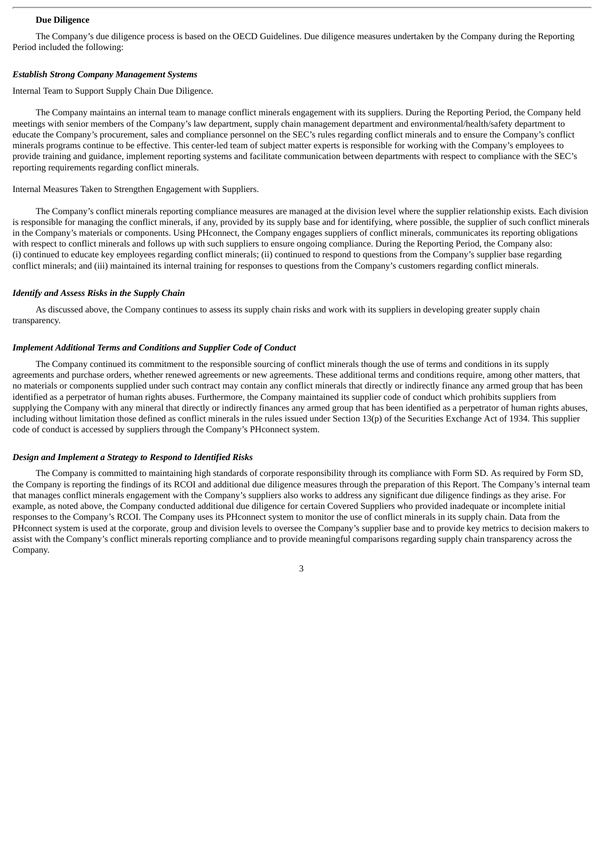#### **Due Diligence**

The Company's due diligence process is based on the OECD Guidelines. Due diligence measures undertaken by the Company during the Reporting Period included the following:

#### *Establish Strong Company Management Systems*

Internal Team to Support Supply Chain Due Diligence.

The Company maintains an internal team to manage conflict minerals engagement with its suppliers. During the Reporting Period, the Company held meetings with senior members of the Company's law department, supply chain management department and environmental/health/safety department to educate the Company's procurement, sales and compliance personnel on the SEC's rules regarding conflict minerals and to ensure the Company's conflict minerals programs continue to be effective. This center-led team of subject matter experts is responsible for working with the Company's employees to provide training and guidance, implement reporting systems and facilitate communication between departments with respect to compliance with the SEC's reporting requirements regarding conflict minerals.

Internal Measures Taken to Strengthen Engagement with Suppliers.

The Company's conflict minerals reporting compliance measures are managed at the division level where the supplier relationship exists. Each division is responsible for managing the conflict minerals, if any, provided by its supply base and for identifying, where possible, the supplier of such conflict minerals in the Company's materials or components. Using PHconnect, the Company engages suppliers of conflict minerals, communicates its reporting obligations with respect to conflict minerals and follows up with such suppliers to ensure ongoing compliance. During the Reporting Period, the Company also: (i) continued to educate key employees regarding conflict minerals; (ii) continued to respond to questions from the Company's supplier base regarding conflict minerals; and (iii) maintained its internal training for responses to questions from the Company's customers regarding conflict minerals.

#### *Identify and Assess Risks in the Supply Chain*

As discussed above, the Company continues to assess its supply chain risks and work with its suppliers in developing greater supply chain transparency.

#### *Implement Additional Terms and Conditions and Supplier Code of Conduct*

The Company continued its commitment to the responsible sourcing of conflict minerals though the use of terms and conditions in its supply agreements and purchase orders, whether renewed agreements or new agreements. These additional terms and conditions require, among other matters, that no materials or components supplied under such contract may contain any conflict minerals that directly or indirectly finance any armed group that has been identified as a perpetrator of human rights abuses. Furthermore, the Company maintained its supplier code of conduct which prohibits suppliers from supplying the Company with any mineral that directly or indirectly finances any armed group that has been identified as a perpetrator of human rights abuses, including without limitation those defined as conflict minerals in the rules issued under Section 13(p) of the Securities Exchange Act of 1934. This supplier code of conduct is accessed by suppliers through the Company's PHconnect system.

#### *Design and Implement a Strategy to Respond to Identified Risks*

The Company is committed to maintaining high standards of corporate responsibility through its compliance with Form SD. As required by Form SD, the Company is reporting the findings of its RCOI and additional due diligence measures through the preparation of this Report. The Company's internal team that manages conflict minerals engagement with the Company's suppliers also works to address any significant due diligence findings as they arise. For example, as noted above, the Company conducted additional due diligence for certain Covered Suppliers who provided inadequate or incomplete initial responses to the Company's RCOI. The Company uses its PHconnect system to monitor the use of conflict minerals in its supply chain. Data from the PHconnect system is used at the corporate, group and division levels to oversee the Company's supplier base and to provide key metrics to decision makers to assist with the Company's conflict minerals reporting compliance and to provide meaningful comparisons regarding supply chain transparency across the Company.

3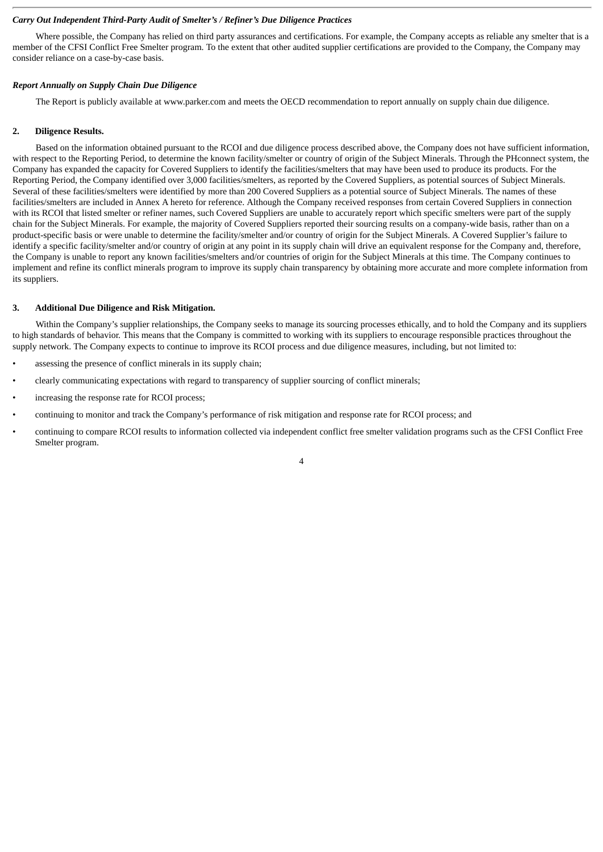#### *Carry Out Independent Third-Party Audit of Smelter's / Refiner's Due Diligence Practices*

Where possible, the Company has relied on third party assurances and certifications. For example, the Company accepts as reliable any smelter that is a member of the CFSI Conflict Free Smelter program. To the extent that other audited supplier certifications are provided to the Company, the Company may consider reliance on a case-by-case basis.

#### *Report Annually on Supply Chain Due Diligence*

The Report is publicly available at www.parker.com and meets the OECD recommendation to report annually on supply chain due diligence.

#### **2. Diligence Results.**

Based on the information obtained pursuant to the RCOI and due diligence process described above, the Company does not have sufficient information, with respect to the Reporting Period, to determine the known facility/smelter or country of origin of the Subject Minerals. Through the PHconnect system, the Company has expanded the capacity for Covered Suppliers to identify the facilities/smelters that may have been used to produce its products. For the Reporting Period, the Company identified over 3,000 facilities/smelters, as reported by the Covered Suppliers, as potential sources of Subject Minerals. Several of these facilities/smelters were identified by more than 200 Covered Suppliers as a potential source of Subject Minerals. The names of these facilities/smelters are included in Annex A hereto for reference. Although the Company received responses from certain Covered Suppliers in connection with its RCOI that listed smelter or refiner names, such Covered Suppliers are unable to accurately report which specific smelters were part of the supply chain for the Subject Minerals. For example, the majority of Covered Suppliers reported their sourcing results on a company-wide basis, rather than on a product-specific basis or were unable to determine the facility/smelter and/or country of origin for the Subject Minerals. A Covered Supplier's failure to identify a specific facility/smelter and/or country of origin at any point in its supply chain will drive an equivalent response for the Company and, therefore, the Company is unable to report any known facilities/smelters and/or countries of origin for the Subject Minerals at this time. The Company continues to implement and refine its conflict minerals program to improve its supply chain transparency by obtaining more accurate and more complete information from its suppliers.

#### **3. Additional Due Diligence and Risk Mitigation.**

Within the Company's supplier relationships, the Company seeks to manage its sourcing processes ethically, and to hold the Company and its suppliers to high standards of behavior. This means that the Company is committed to working with its suppliers to encourage responsible practices throughout the supply network. The Company expects to continue to improve its RCOI process and due diligence measures, including, but not limited to:

- assessing the presence of conflict minerals in its supply chain;
- clearly communicating expectations with regard to transparency of supplier sourcing of conflict minerals;
- increasing the response rate for RCOI process;
- continuing to monitor and track the Company's performance of risk mitigation and response rate for RCOI process; and
- continuing to compare RCOI results to information collected via independent conflict free smelter validation programs such as the CFSI Conflict Free Smelter program.